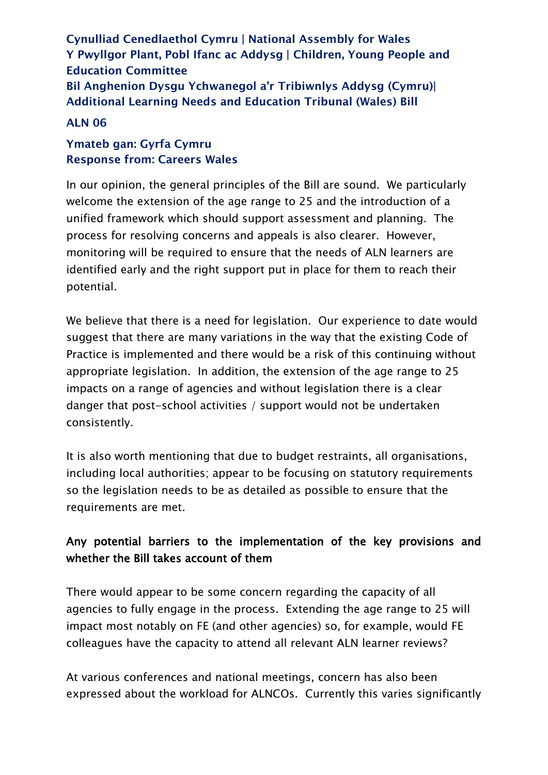**Cynulliad Cenedlaethol Cymru | National Assembly for Wales Y Pwyllgor Plant, Pobl Ifanc ac Addysg | Children, Young People and Education Committee Bil Anghenion Dysgu Ychwanegol a'r Tribiwnlys Addysg (Cymru)| Additional Learning Needs and Education Tribunal (Wales) Bill**

#### **ALN 06**

#### **Ymateb gan: Gyrfa Cymru Response from: Careers Wales**

In our opinion, the general principles of the Bill are sound. We particularly welcome the extension of the age range to 25 and the introduction of a unified framework which should support assessment and planning. The process for resolving concerns and appeals is also clearer. However, monitoring will be required to ensure that the needs of ALN learners are identified early and the right support put in place for them to reach their potential.

We believe that there is a need for legislation. Our experience to date would suggest that there are many variations in the way that the existing Code of Practice is implemented and there would be a risk of this continuing without appropriate legislation. In addition, the extension of the age range to 25 impacts on a range of agencies and without legislation there is a clear danger that post-school activities / support would not be undertaken consistently.

It is also worth mentioning that due to budget restraints, all organisations, including local authorities; appear to be focusing on statutory requirements so the legislation needs to be as detailed as possible to ensure that the requirements are met.

## Any potential barriers to the implementation of the key provisions and whether the Bill takes account of them

There would appear to be some concern regarding the capacity of all agencies to fully engage in the process. Extending the age range to 25 will impact most notably on FE (and other agencies) so, for example, would FE colleagues have the capacity to attend all relevant ALN learner reviews?

At various conferences and national meetings, concern has also been expressed about the workload for ALNCOs. Currently this varies significantly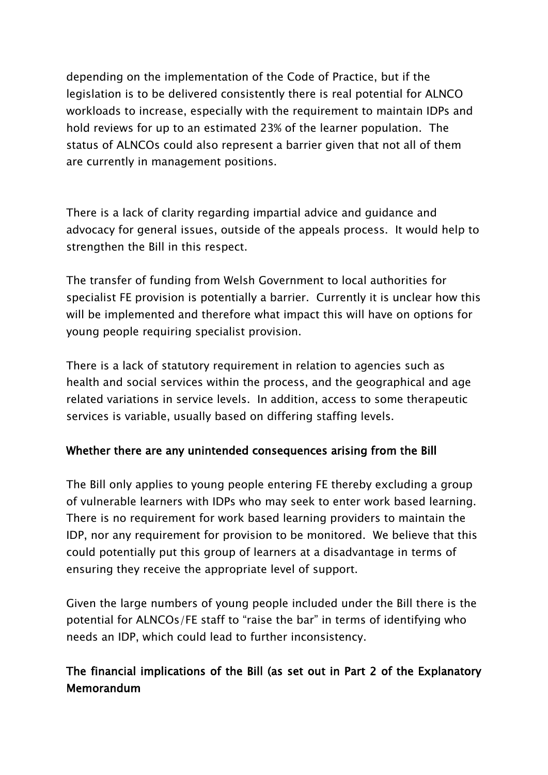depending on the implementation of the Code of Practice, but if the legislation is to be delivered consistently there is real potential for ALNCO workloads to increase, especially with the requirement to maintain IDPs and hold reviews for up to an estimated 23% of the learner population. The status of ALNCOs could also represent a barrier given that not all of them are currently in management positions.

There is a lack of clarity regarding impartial advice and guidance and advocacy for general issues, outside of the appeals process. It would help to strengthen the Bill in this respect.

The transfer of funding from Welsh Government to local authorities for specialist FE provision is potentially a barrier. Currently it is unclear how this will be implemented and therefore what impact this will have on options for young people requiring specialist provision.

There is a lack of statutory requirement in relation to agencies such as health and social services within the process, and the geographical and age related variations in service levels. In addition, access to some therapeutic services is variable, usually based on differing staffing levels.

### Whether there are any unintended consequences arising from the Bill

The Bill only applies to young people entering FE thereby excluding a group of vulnerable learners with IDPs who may seek to enter work based learning. There is no requirement for work based learning providers to maintain the IDP, nor any requirement for provision to be monitored. We believe that this could potentially put this group of learners at a disadvantage in terms of ensuring they receive the appropriate level of support.

Given the large numbers of young people included under the Bill there is the potential for ALNCOs/FE staff to "raise the bar" in terms of identifying who needs an IDP, which could lead to further inconsistency.

# The financial implications of the Bill (as set out in Part 2 of the Explanatory Memorandum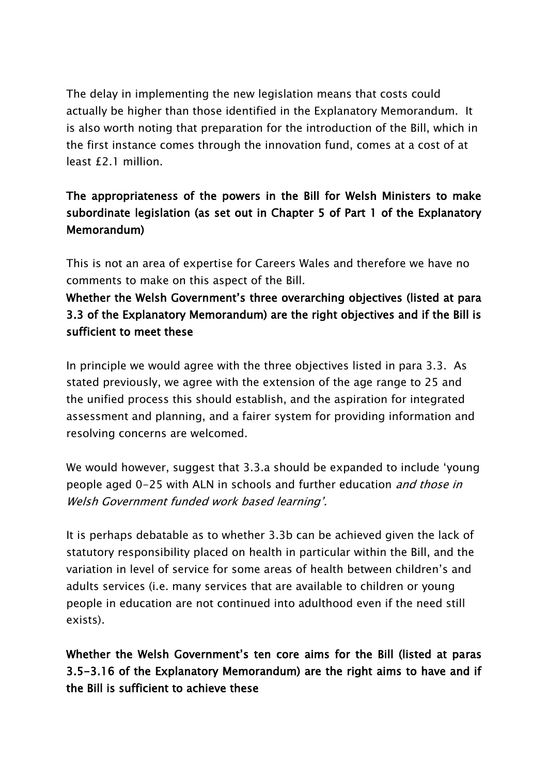The delay in implementing the new legislation means that costs could actually be higher than those identified in the Explanatory Memorandum. It is also worth noting that preparation for the introduction of the Bill, which in the first instance comes through the innovation fund, comes at a cost of at least £2.1 million.

# The appropriateness of the powers in the Bill for Welsh Ministers to make subordinate legislation (as set out in Chapter 5 of Part 1 of the Explanatory Memorandum)

This is not an area of expertise for Careers Wales and therefore we have no comments to make on this aspect of the Bill.

## Whether the Welsh Government's three overarching objectives (listed at para 3.3 of the Explanatory Memorandum) are the right objectives and if the Bill is sufficient to meet these

In principle we would agree with the three objectives listed in para 3.3. As stated previously, we agree with the extension of the age range to 25 and the unified process this should establish, and the aspiration for integrated assessment and planning, and a fairer system for providing information and resolving concerns are welcomed.

We would however, suggest that 3.3.a should be expanded to include 'young people aged 0-25 with ALN in schools and further education and those in Welsh Government funded work based learning'.

It is perhaps debatable as to whether 3.3b can be achieved given the lack of statutory responsibility placed on health in particular within the Bill, and the variation in level of service for some areas of health between children's and adults services (i.e. many services that are available to children or young people in education are not continued into adulthood even if the need still exists).

Whether the Welsh Government's ten core aims for the Bill (listed at paras 3.5-3.16 of the Explanatory Memorandum) are the right aims to have and if the Bill is sufficient to achieve these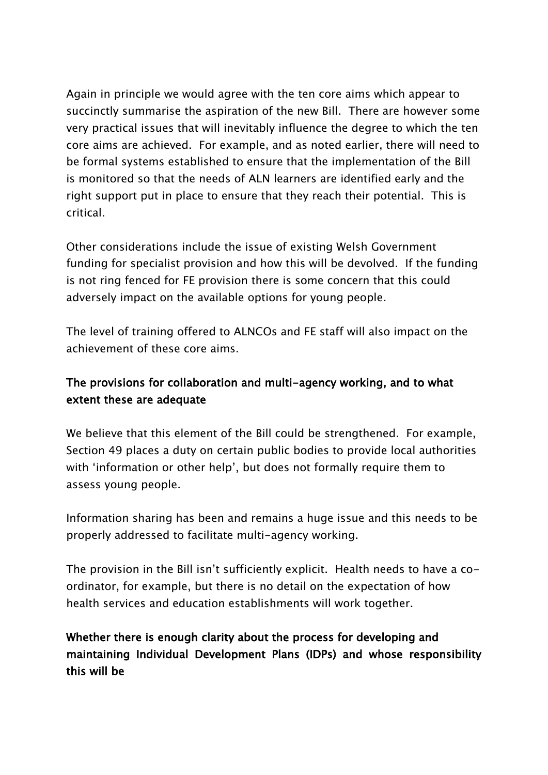Again in principle we would agree with the ten core aims which appear to succinctly summarise the aspiration of the new Bill. There are however some very practical issues that will inevitably influence the degree to which the ten core aims are achieved. For example, and as noted earlier, there will need to be formal systems established to ensure that the implementation of the Bill is monitored so that the needs of ALN learners are identified early and the right support put in place to ensure that they reach their potential. This is critical.

Other considerations include the issue of existing Welsh Government funding for specialist provision and how this will be devolved. If the funding is not ring fenced for FE provision there is some concern that this could adversely impact on the available options for young people.

The level of training offered to ALNCOs and FE staff will also impact on the achievement of these core aims.

### The provisions for collaboration and multi-agency working, and to what extent these are adequate

We believe that this element of the Bill could be strengthened. For example, Section 49 places a duty on certain public bodies to provide local authorities with 'information or other help', but does not formally require them to assess young people.

Information sharing has been and remains a huge issue and this needs to be properly addressed to facilitate multi-agency working.

The provision in the Bill isn't sufficiently explicit. Health needs to have a coordinator, for example, but there is no detail on the expectation of how health services and education establishments will work together.

# Whether there is enough clarity about the process for developing and maintaining Individual Development Plans (IDPs) and whose responsibility this will be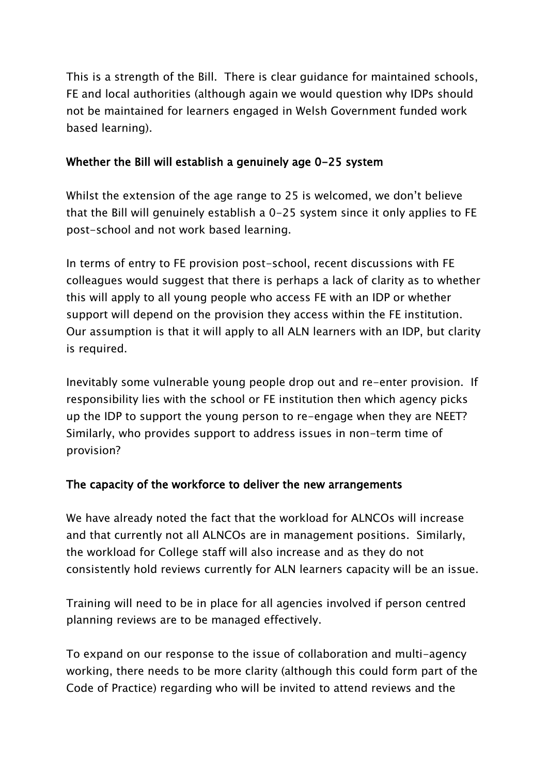This is a strength of the Bill. There is clear guidance for maintained schools, FE and local authorities (although again we would question why IDPs should not be maintained for learners engaged in Welsh Government funded work based learning).

### Whether the Bill will establish a genuinely age 0-25 system

Whilst the extension of the age range to 25 is welcomed, we don't believe that the Bill will genuinely establish a 0-25 system since it only applies to FE post-school and not work based learning.

In terms of entry to FE provision post-school, recent discussions with FE colleagues would suggest that there is perhaps a lack of clarity as to whether this will apply to all young people who access FE with an IDP or whether support will depend on the provision they access within the FE institution. Our assumption is that it will apply to all ALN learners with an IDP, but clarity is required.

Inevitably some vulnerable young people drop out and re-enter provision. If responsibility lies with the school or FE institution then which agency picks up the IDP to support the young person to re-engage when they are NEET? Similarly, who provides support to address issues in non-term time of provision?

### The capacity of the workforce to deliver the new arrangements

We have already noted the fact that the workload for ALNCOs will increase and that currently not all ALNCOs are in management positions. Similarly, the workload for College staff will also increase and as they do not consistently hold reviews currently for ALN learners capacity will be an issue.

Training will need to be in place for all agencies involved if person centred planning reviews are to be managed effectively.

To expand on our response to the issue of collaboration and multi-agency working, there needs to be more clarity (although this could form part of the Code of Practice) regarding who will be invited to attend reviews and the